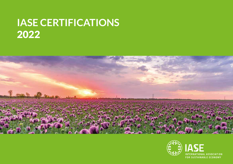# **IASE CERTIFICATIONS** 2022



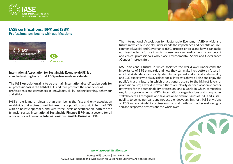



## IASE certifications: ISF® and ISB® **Professionalism| begins with qualifications**



**International Association for Sustainable Economy (IASE) is a standard-setting body for all ESG professionals worldwide.**

**The IASE Association aims to be the main international certification body for all professionals in the field of ESG** and thus promote the confidence of professionals and consumers in knowledge, skills, lifelong learning, behaviour and ethics.

IASE's role is more relevant than ever, being the first and only association worldwide that aspires to certify the entire population pyramid in terms of ESG with an holistic approach, and with three levels of certification, both for the financial sector, **International Sustainable Finance ISF®** and a second for all other sectors of business, **International Sustainable Business ISB®.**

The International Association for Sustainable Economy (IASE) envisions a future in which our society understands the importance and benefits of Environmental, Social and Governance (ESG) process criteria and how it can make our lives better; a future in which consumers can readily identify competent and ethical professionals who place Environmental, Social and Governance /Gender interests first.

IASE envisions a future in which societies the world over understand the importance of ESG standards and how they can make lives better; a future in which stakeholders can readily identify competent and ethical sustainability and ESG experts who always place social interests above all else and enjoy the public's trust; a future in which practitioners aspire to the highest levels of professionalism; a world in which there are clearly defined academic career pathways for the sustainability profession; and a world in which companies, regulators, governments, NGOs, international organisations and many other stakeholders all recognise and take action to ensure issues of ESG and sustainability to be mainstream, and not extra endeavours. In short, IASE envisions an ESG and sustainability profession that is at parity with other well recognised and respected professions the world over.



**www.iase-certifications.com**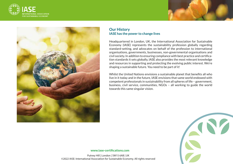





## **Our History IASE has the power to change lives**

Headquartered in London, UK, the International Association for Sustainable Economy (IASE) represents the sustainability profession globally regarding standard-setting, and advocates on behalf of the profession to international organisations, governments, businesses, non-governmental organisations and civil society. In addition to ensuring compliance with best practice and certification standards it sets globally, IASE also provides the most relevant knowledge and resources in supporting and protecting the evolving public interest. We're shaping a sustainable future. You need to be part of it!

Whilst the United Nations envisions a sustainable planet that benefits all who live in it today and in the future, IASE envisions that same world endowed with competent professionals in sustainability from all spheres of life – government, business, civil service, communities, NGOs – all working to guide the world towards this same singular vision.



**www.iase-certifications.com**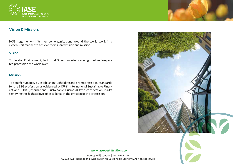

# **Vision & Mission.**

IASE, together with its member organisations around the world work in a closely knit manner to achieve their shared vision and mission

## **Vision**

To develop Environment, Social and Governance into a recognized and respected profession the world over.

### **Mission**

To benefit humanity by establishing, upholding and promoting global standards for the ESG profession as evidenced by ISF® (International Sustainable Finance) and ISB® (International Sustainable Business) twin certification marks signifying the highest level of excellence in the practice of the profession.





#### **www.iase-certifications.com**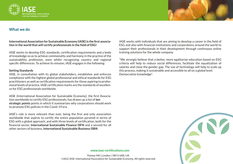



## **What we do**

**International Association for Sustainable Economy (IASE) is the first association in the world that will certify professionals in the field of ESG!**

IASE works to develop ESG standards, certification requirements and a body of knowledge so as to achieve commonality and harmony in the practice of the sustainability profession, even whilst recognizing country and regional specific differences. To achieve its mission, IASE engages in the following:

#### **Setting Standards**

IASE, in consultation with its global stakeholders, establishes and enforces compliance with the highest global professional and ethical standards for ESG practitioners as well as certification requirements for those aspiring to professional levels of practice. IASE certification marks are the standards of excellence for ESG professionals worldwide.

IASE (International Association for Sustainable Economy), the first Association worldwide to certify ESG professionals, has drawn up a list of **ten strategic points** points in which it summarizes why corporations should work to promote ESG policies in the Covid-19 era.

IASE's role is more relevant than ever, being the first and only association worldwide that aspires to certify the entire population pyramid in terms of ESG with a global approach, and with three levels of certification, both for the financial sector, **International Sustainable Finance ISF®** and a second for all other sectors of buisness, **International Sustainable Business ISB®.**

IASE works with individuals that are aiming to develop a career in the field of ESG and also with financial institutions and corporations around the world to support their professionals in their development through continuous online training solutions for the whole company.

"We strongly believe that a better, more egalitarian education based on ESG criteria will help to reduce social differences, facilitate the equalization of salaries and close the gender gap. The use of technology will help to scale up this process, making it sustainable and accessible to all on a global level. Democratize knowledge".



**www.iase-certifications.com**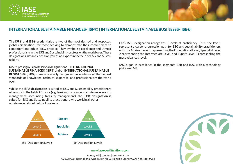



# **INTERNATIONAL SUSTAINABLE FINANCE® (ISF®) | INTERNATIONAL SUSTAINABLE BUSINESS® (ISB®)**

**The ISF® and ISB® credentials** are two of the most desired and respected global certifications for those seeking to demonstrate their commitment to competent and ethical ESG practice. They symbolise excellence and utmost professionalism in the ESG and Sustainability profession the world over. These designations instantly position you as an expert in the field of ESG and Sustainability.

IASE's prestigious professional designations - **INTERNATIONAL SUSTAINABLE FINANCE® (ISF®)** and/or **INTERNATIONAL SUSTAINABLE BUSINESS® (ISB®)** - are universally recognised as evidence of the highest standards of knowledge, technical expertise, and professionalism the world over.

Whilst the **ISF® designation** is suited to ESG and Sustainability practitioners who work in the field of finance (e.g. banking, insurance, micro finance, wealth management, accounting, treasury management), the **ISB® designation** is suited for ESG and Sustainability practitioners who work in all other non-finance related fields of business.



Each IASE designation recognizes 3 levels of proficiency. Thus, the levels represent a career progression path for ESG and sustainability practitioners with the Advisor Level 1 representing the Foundational Level, Specialist Level 2 representing the Intermediate Level, and Expert Level 3 representing the most advanced level.

IASE's goal is excellence in the segments B2B and B2C with a technology platform LMS.



#### **www.iase-certifications.com**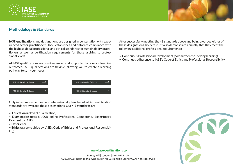



# **Methodology & Standards**

**IASE qualifications** and designations are designed in consultation with experienced sector practitioners. IASE establishes and enforces compliance with the highest global professional and ethical standards for sustainability practitioners as well as certification requirements for those aspiring to professional levels.

All IASE qualifications are quality-assured and supported by relevant learning outcomes. IASE qualifications are flexible, allowing you to create a learning pathway to suit your needs.



Only individuals who meet our internationally benchmarked 4-E certification standards are awarded these designations. Our **4-E standards** are:

• **Education** (relevant qualification)

• **Examination** (pass a 100% online Professional Competency Exam/Board Exam set by IASE)

• **Experience**

• **Ethics** (agree to abide by IASE's Code of Ethics and Professional Responsibility)

After successfully meeting the 4E standards above and being awarded either of these designations, holders must also demonstrate annually that they meet the following additional professional requirements:

- Continuous Professional Development (commitment to lifelong learning)
- Continued adherence to IASE's Code of Ethics and Professional Responsibility



#### **www.iase-certifications.com**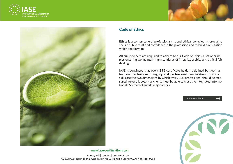





## **Code of Ethics**

Ethics is a cornerstone of professionalism, and ethical behaviour is crucial to secure public trust and confidence in the profession and to build a reputation which people value.

All our members are required to adhere to our Code of Ethics, a set of principles ensuring we maintain high standards of integrity, probity and ethical fair dealing.

IASE is convinced that every ESG certificate holder is defined by two main features: **professional integrity and professional qualification**. Ethics and skills are the two dimensions by which every ESG professional should be measured. After all, potential clients must be able to trust the integrated International ESG market and its major actors.

IASE's Code of Ethics



**www.iase-certifications.com**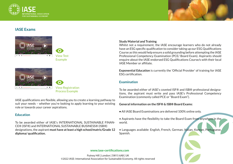



# **IASE Exams**









IASE qualifications are flexible, allowing you to create a learning pathway to suit your needs – whether you're looking to apply learning to your existing role or towards your career aspirations.

### **Education**

To be awarded either of IASE's INTERNATIONAL SUSTAINABLE FINAN-CE® (ISF®) and INTERNATIONAL SUSTAINABLE BUSINESS® (ISB®) designations, the aspirant **must have at least a high school/matric/Grade 12 diploma/ qualification.**

#### **Study Material and Training**

Whilst not a requirement, the IASE encourage learners who do not already have an ESG specific qualification to consider taking up our ESG Qualifications Course as this would help ensure a solid grounding before attempting the IASE Professional Competency Examination (PCE/ Board Exam). Aspirants should enquire about the IASE endorsed ESG Qualifications Course/s with their local IASE Member or affiliate.

**Exponential Education** is currently the 'Official Provider' of training for IASE ESG certification.

## **Examination**

To be awarded either of IASE's coveted ISF® and ISB® professional designations, the aspirant must write and pass IASE's Professional Competency Examination (commonly called PCE or "Board Exam").

### **General information on the ISF® & ISB® Board Exams:**

**•** All IASE Board Examinations are delivered 100% online only.

• Aspirants have the flexibility to take the Board Exam from anywhere in the world.

• Languages available: English, French, German, Italian, Korean, Portuguese, Spanish.



#### **www.iase-certifications.com**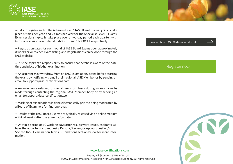



• Calls to register and sit the Advisory Level 1 IASE Board Exams typically take place 4 times per year, and 2 times per year for the Specialist Level 2 Exams. Exam sessions typically take place over a two-day period each quarter, with two exam sessions each day at 09h00CET and 16h00CET respectively.

- Registration dates for each round of IASE Board Exams open approximately 3 weeks prior to each exam sitting, and Registrations can be done through the IASE website.
- It is the aspirant's responsibility to ensure that he/she is aware of the date, time and place of his/her examination.
- An aspirant may withdraw from an IASE exam at any stage before starting the exam, by notifying via email their regional IASE Member or by sending an email to support@iase-certifications.com
- Arrangements relating to special needs or illness during an exam can be made through contacting the regional IASE Member body or by sending an email to support@iase-certifications.com
- Marking of examinations is done electronically prior to being moderated by a Board of Examiners for final approval.
- Results of the IASE Board Exams are typically released via an online medium within 4 weeks after the examination date.

• Within a period of 10 working days after results were issued, aspirants will have the opportunity to request a Remark/Review, or Appeal question/s. See the IASE Examination Terms & Conditions section below for more information.

#### **www.iase-certifications.com**

Putney Hill | London | SW15 6AB | UK ©2022 IASE: International Association for Sustainable Economy. All rights reserved

#### How to obtain IASE Certifications Level 1

## Register now

https://www.iase-certifications.com/static/files/global2/HowToObtainIASECertifications

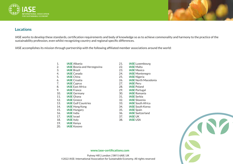



# **Locations**

IASE works to develop these standards, certification requirements and body of knowledge so as to achieve commonality and harmony to the practice of the sustainability profession, even whilst recognizing country and regional specific differences.

IASE accomplishes its mission through partnership with the following affiliated member associations around the world:

- 1. **IASE** Albania
- 2. **IASE** Bosnia and Herzegovina
- 3. **IASE** Brazil
- 4. **IASE** Canada
- 5. **IASE** China
- 6. **IASE** Croatia
- 7. **IASE** Cyprus
- 8. **IASE** East Africa
- 9. **IASE** France
- 10. **IASE** Germany
- 11. **IASE** Ghana
- 12. **IASE** Greece
- 13. **IASE** Gulf Countries
- 14. **IASE** Hong Kong
- 15. **IASE** Hungary
- 16. **IASE** India
- 17. **IASE** Israel
- 18. **IASE** Italy
- 19. **IASE** Kenya
- 20. **IASE** Kosovo
- 21. **IASE** Luxembourg
- 22. **IASE** Malta
- 23. **IASE** Mexico
- 24. **IASE** Montenegro
- 25. **IASE** Nigeria
- 26. **IASE** North Macedonia
- 27. **IASE** Peru
- 28. **IASE** Poland
- 29. **IASE** Portugal
- 30. **IASE** Romania
- 31. **IASE** Serbia
- 32. **IASE** Slovenia
- 33. **IASE** South Africa
- 34. **IASE** South Korea
- 35. **IASE** Spain
- 36. **IASE** Switzerland
- 37. **IASE** UK
- 38. **IASE** USA



#### **www.iase-certifications.com**